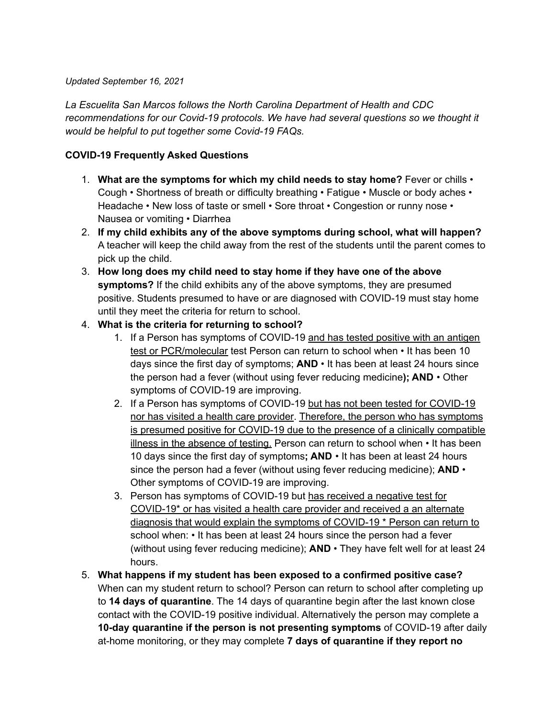## *Updated September 16, 2021*

*La Escuelita San Marcos follows the North Carolina Department of Health and CDC recommendations for our Covid-19 protocols. We have had several questions so we thought it would be helpful to put together some Covid-19 FAQs.*

## **COVID-19 Frequently Asked Questions**

- 1. **What are the symptoms for which my child needs to stay home?** Fever or chills Cough • Shortness of breath or difficulty breathing • Fatigue • Muscle or body aches • Headache • New loss of taste or smell • Sore throat • Congestion or runny nose • Nausea or vomiting • Diarrhea
- 2. **If my child exhibits any of the above symptoms during school, what will happen?** A teacher will keep the child away from the rest of the students until the parent comes to pick up the child.
- 3. **How long does my child need to stay home if they have one of the above symptoms?** If the child exhibits any of the above symptoms, they are presumed positive. Students presumed to have or are diagnosed with COVID-19 must stay home until they meet the criteria for return to school.
- 4. **What is the criteria for returning to school?**
	- 1. If a Person has symptoms of COVID-19 and has tested positive with an antigen test or PCR/molecular test Person can return to school when • It has been 10 days since the first day of symptoms; **AND** • It has been at least 24 hours since the person had a fever (without using fever reducing medicine**); AND** • Other symptoms of COVID-19 are improving.
	- 2. If a Person has symptoms of COVID-19 but has not been tested for COVID-19 nor has visited a health care provider. Therefore, the person who has symptoms is presumed positive for COVID-19 due to the presence of a clinically compatible illness in the absence of testing. Person can return to school when • It has been 10 days since the first day of symptoms**; AND** • It has been at least 24 hours since the person had a fever (without using fever reducing medicine); **AND** • Other symptoms of COVID-19 are improving.
	- 3. Person has symptoms of COVID-19 but has received a negative test for COVID-19\* or has visited a health care provider and received a an alternate diagnosis that would explain the symptoms of COVID-19 \* Person can return to school when: • It has been at least 24 hours since the person had a fever (without using fever reducing medicine); **AND** • They have felt well for at least 24 hours.
- 5. **What happens if my student has been exposed to a confirmed positive case?** When can my student return to school? Person can return to school after completing up to **14 days of quarantine**. The 14 days of quarantine begin after the last known close contact with the COVID-19 positive individual. Alternatively the person may complete a **10-day quarantine if the person is not presenting symptoms** of COVID-19 after daily at-home monitoring, or they may complete **7 days of quarantine if they report no**